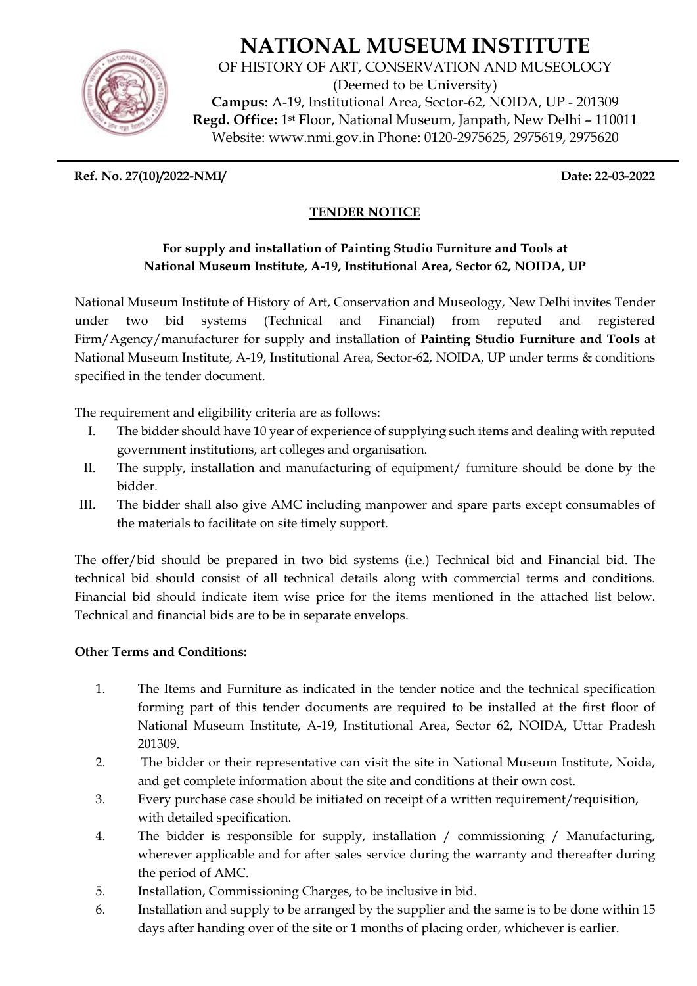# **NATIONAL MUSEUM INSTITUTE**



OF HISTORY OF ART, CONSERVATION AND MUSEOLOGY (Deemed to be University) **Campus:** A-19, Institutional Area, Sector-62, NOIDA, UP - 201309 **Regd. Office:** 1st Floor, National Museum, Janpath, New Delhi – 110011 Website: www.nmi.gov.in Phone: 0120-2975625, 2975619, 2975620

**Ref. No. 27(10)/2022-NMI/ Date: 22-03-2022** 

## **TENDER NOTICE**

### **For supply and installation of Painting Studio Furniture and Tools at National Museum Institute, A-19, Institutional Area, Sector 62, NOIDA, UP**

National Museum Institute of History of Art, Conservation and Museology, New Delhi invites Tender under two bid systems (Technical and Financial) from reputed and registered Firm/Agency/manufacturer for supply and installation of **Painting Studio Furniture and Tools** at National Museum Institute, A-19, Institutional Area, Sector-62, NOIDA, UP under terms & conditions specified in the tender document.

The requirement and eligibility criteria are as follows:

- I. The bidder should have 10 year of experience of supplying such items and dealing with reputed government institutions, art colleges and organisation.
- II. The supply, installation and manufacturing of equipment/ furniture should be done by the bidder.
- III. The bidder shall also give AMC including manpower and spare parts except consumables of the materials to facilitate on site timely support.

The offer/bid should be prepared in two bid systems (i.e.) Technical bid and Financial bid. The technical bid should consist of all technical details along with commercial terms and conditions. Financial bid should indicate item wise price for the items mentioned in the attached list below. Technical and financial bids are to be in separate envelops.

#### **Other Terms and Conditions:**

- 1. The Items and Furniture as indicated in the tender notice and the technical specification forming part of this tender documents are required to be installed at the first floor of National Museum Institute, A-19, Institutional Area, Sector 62, NOIDA, Uttar Pradesh 201309.
- 2. The bidder or their representative can visit the site in National Museum Institute, Noida, and get complete information about the site and conditions at their own cost.
- 3. Every purchase case should be initiated on receipt of a written requirement/requisition, with detailed specification.
- 4. The bidder is responsible for supply, installation / commissioning / Manufacturing, wherever applicable and for after sales service during the warranty and thereafter during the period of AMC.
- 5. Installation, Commissioning Charges, to be inclusive in bid.
- 6. Installation and supply to be arranged by the supplier and the same is to be done within 15 days after handing over of the site or 1 months of placing order, whichever is earlier.